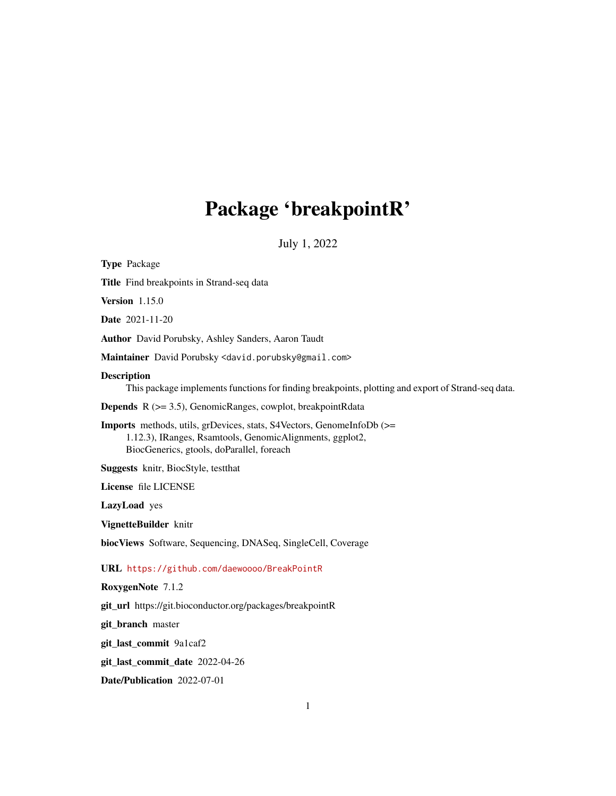# Package 'breakpointR'

July 1, 2022

<span id="page-0-0"></span>

| <b>Type Package</b>                                                                                                                                                                   |
|---------------------------------------------------------------------------------------------------------------------------------------------------------------------------------------|
| Title Find breakpoints in Strand-seq data                                                                                                                                             |
| <b>Version</b> 1.15.0                                                                                                                                                                 |
| <b>Date</b> 2021-11-20                                                                                                                                                                |
| Author David Porubsky, Ashley Sanders, Aaron Taudt                                                                                                                                    |
| Maintainer David Porubsky <david.porubsky@gmail.com></david.porubsky@gmail.com>                                                                                                       |
| <b>Description</b><br>This package implements functions for finding breakpoints, plotting and export of Strand-seq data.                                                              |
| <b>Depends</b> $R$ ( $>= 3.5$ ), GenomicRanges, cowplot, breakpointRdata                                                                                                              |
| <b>Imports</b> methods, utils, grDevices, stats, S4Vectors, GenomeInfoDb (>=<br>1.12.3), IRanges, Rsamtools, GenomicAlignments, ggplot2,<br>BiocGenerics, gtools, doParallel, foreach |
| Suggests knitr, BiocStyle, testthat                                                                                                                                                   |
| License file LICENSE                                                                                                                                                                  |
| LazyLoad yes                                                                                                                                                                          |
| VignetteBuilder knitr                                                                                                                                                                 |
| biocViews Software, Sequencing, DNASeq, SingleCell, Coverage                                                                                                                          |
| URL https://github.com/daewoooo/BreakPointR                                                                                                                                           |
| RoxygenNote 7.1.2                                                                                                                                                                     |
| git_url https://git.bioconductor.org/packages/breakpointR                                                                                                                             |
| git_branch master                                                                                                                                                                     |
| git_last_commit 9a1caf2                                                                                                                                                               |
| git_last_commit_date 2022-04-26                                                                                                                                                       |
| Date/Publication 2022-07-01                                                                                                                                                           |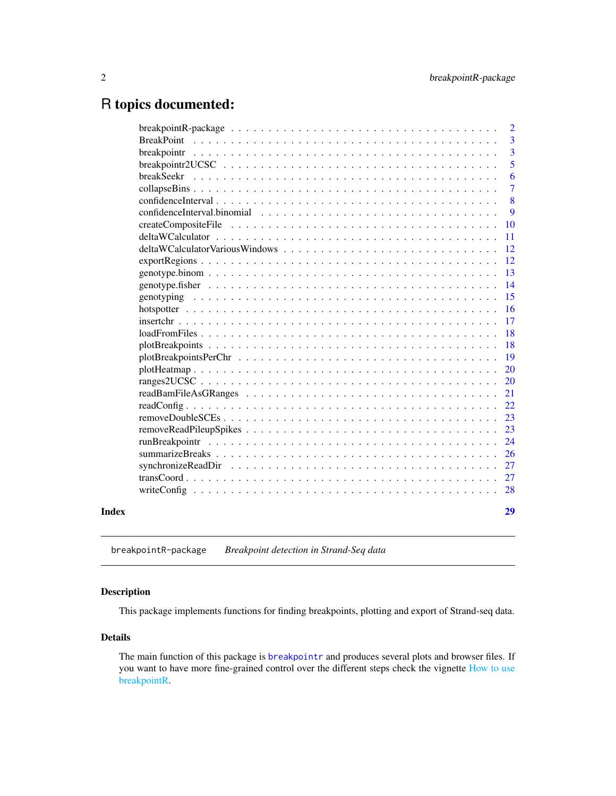## <span id="page-1-0"></span>R topics documented:

|                                                                                                                        | $\overline{2}$ |
|------------------------------------------------------------------------------------------------------------------------|----------------|
| <b>BreakPoint</b>                                                                                                      | 3              |
| breakpointr                                                                                                            | 3              |
|                                                                                                                        | 5              |
| breakSeekr                                                                                                             | 6              |
|                                                                                                                        | $\overline{7}$ |
|                                                                                                                        | 8              |
|                                                                                                                        | 9              |
|                                                                                                                        | 10             |
|                                                                                                                        | 11             |
|                                                                                                                        | 12             |
| $export Regions \dots \dots \dots \dots \dots \dots \dots \dots \dots \dots \dots \dots \dots \dots \dots \dots \dots$ | 12             |
|                                                                                                                        | 13             |
|                                                                                                                        | 14             |
|                                                                                                                        | 15             |
|                                                                                                                        | 16             |
|                                                                                                                        | 17             |
|                                                                                                                        | 18             |
|                                                                                                                        | 18             |
|                                                                                                                        | 19             |
|                                                                                                                        | 20             |
|                                                                                                                        | 20             |
|                                                                                                                        | 21             |
|                                                                                                                        | 22             |
|                                                                                                                        | 23             |
|                                                                                                                        | 23             |
|                                                                                                                        | 24             |
|                                                                                                                        | 26             |
|                                                                                                                        | 27             |
|                                                                                                                        | 27             |
|                                                                                                                        | 28             |
|                                                                                                                        | 29             |
|                                                                                                                        |                |

breakpointR-package *Breakpoint detection in Strand-Seq data*

### <span id="page-1-1"></span>Description

This package implements functions for finding breakpoints, plotting and export of Strand-seq data.

### Details

The main function of this package is [breakpointr](#page-2-1) and produces several plots and browser files. If you want to have more fine-grained control over the different steps check the vignette [How to use](#page-0-0) [breakpointR.](#page-0-0)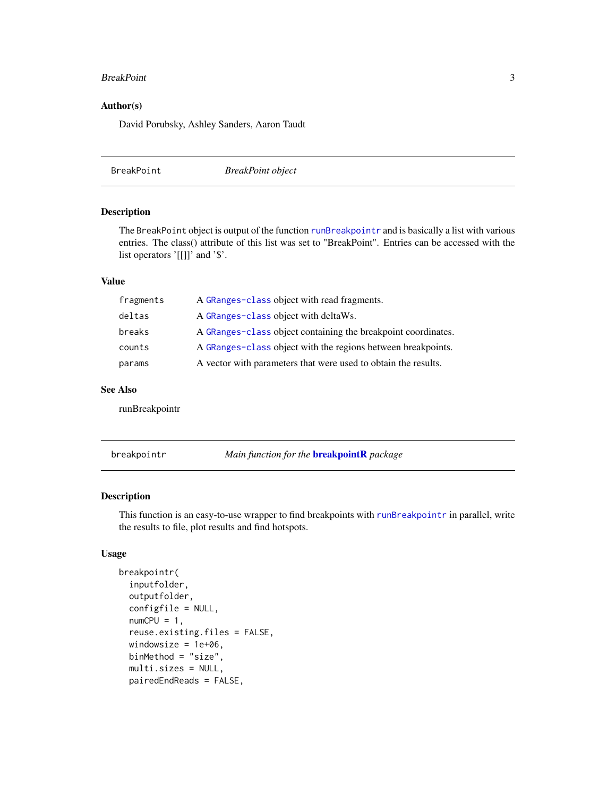#### <span id="page-2-0"></span>BreakPoint 3

#### Author(s)

David Porubsky, Ashley Sanders, Aaron Taudt

<span id="page-2-2"></span>BreakPoint *BreakPoint object*

#### Description

The BreakPoint object is output of the function [runBreakpointr](#page-23-1) and is basically a list with various entries. The class() attribute of this list was set to "BreakPoint". Entries can be accessed with the list operators '[[]]' and '\$'.

### Value

| fragments | A GRanges-class object with read fragments.                    |
|-----------|----------------------------------------------------------------|
| deltas    | A GRanges-class object with deltaWs.                           |
| breaks    | A GRanges-class object containing the breakpoint coordinates.  |
| counts    | A GRanges-class object with the regions between breakpoints.   |
| params    | A vector with parameters that were used to obtain the results. |

#### See Also

runBreakpointr

<span id="page-2-1"></span>breakpointr *Main function for the* [breakpointR](#page-1-1) *package*

#### Description

This function is an easy-to-use wrapper to find breakpoints with [runBreakpointr](#page-23-1) in parallel, write the results to file, plot results and find hotspots.

```
breakpointr(
  inputfolder,
  outputfolder,
  configfile = NULL,
  numCPU = 1,
  reuse.existing.files = FALSE,
  windowsize = 1e+06,
  binMethod = "size",
  multi.sizes = NULL,
  pairedEndReads = FALSE,
```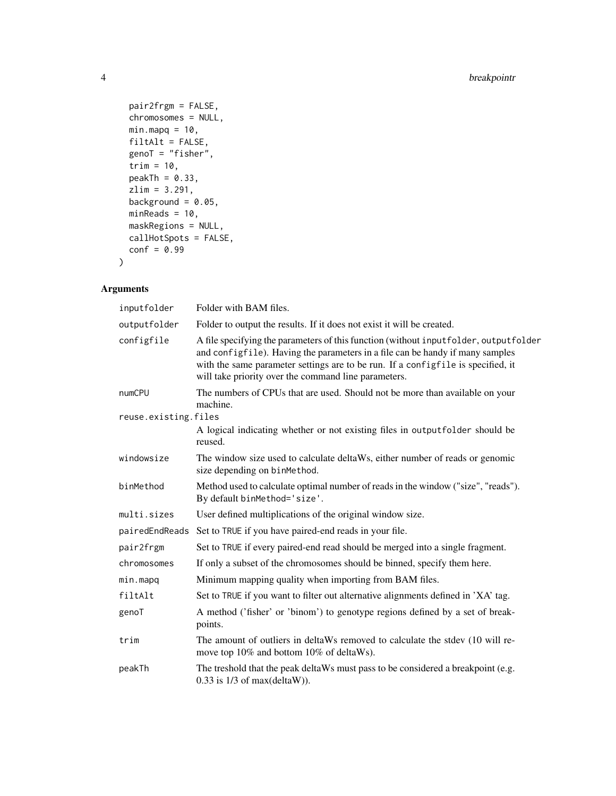```
pair2frgm = FALSE,
 chromosomes = NULL,
 minmapq = 10,
 filtAlt = FALSE,
 genoT = "fisher",trim = 10,
 peakTh = 0.33,
 zlim = 3.291,
 background = 0.05,
 minReads = 10,maskRegions = NULL,
 callHotSpots = FALSE,
 conf = 0.99)
```

| inputfolder          | Folder with BAM files.                                                                                                                                                                                                                                                                                              |
|----------------------|---------------------------------------------------------------------------------------------------------------------------------------------------------------------------------------------------------------------------------------------------------------------------------------------------------------------|
| outputfolder         | Folder to output the results. If it does not exist it will be created.                                                                                                                                                                                                                                              |
| configfile           | A file specifying the parameters of this function (without input folder, output folder<br>and configfile). Having the parameters in a file can be handy if many samples<br>with the same parameter settings are to be run. If a configfile is specified, it<br>will take priority over the command line parameters. |
| numCPU               | The numbers of CPUs that are used. Should not be more than available on your<br>machine.                                                                                                                                                                                                                            |
| reuse.existing.files |                                                                                                                                                                                                                                                                                                                     |
|                      | A logical indicating whether or not existing files in outputfolder should be<br>reused.                                                                                                                                                                                                                             |
| windowsize           | The window size used to calculate deltaWs, either number of reads or genomic<br>size depending on binMethod.                                                                                                                                                                                                        |
| binMethod            | Method used to calculate optimal number of reads in the window ("size", "reads").<br>By default binMethod='size'.                                                                                                                                                                                                   |
| multi.sizes          | User defined multiplications of the original window size.                                                                                                                                                                                                                                                           |
| pairedEndReads       | Set to TRUE if you have paired-end reads in your file.                                                                                                                                                                                                                                                              |
| pair2frgm            | Set to TRUE if every paired-end read should be merged into a single fragment.                                                                                                                                                                                                                                       |
| chromosomes          | If only a subset of the chromosomes should be binned, specify them here.                                                                                                                                                                                                                                            |
| min.mapq             | Minimum mapping quality when importing from BAM files.                                                                                                                                                                                                                                                              |
| filtAlt              | Set to TRUE if you want to filter out alternative alignments defined in 'XA' tag.                                                                                                                                                                                                                                   |
| genoT                | A method ('fisher' or 'binom') to genotype regions defined by a set of break-<br>points.                                                                                                                                                                                                                            |
| trim                 | The amount of outliers in deltaWs removed to calculate the stdev (10 will re-<br>move top 10% and bottom 10% of deltaWs).                                                                                                                                                                                           |
| peakTh               | The treshold that the peak deltaWs must pass to be considered a breakpoint (e.g.<br>$0.33$ is $1/3$ of max(deltaW)).                                                                                                                                                                                                |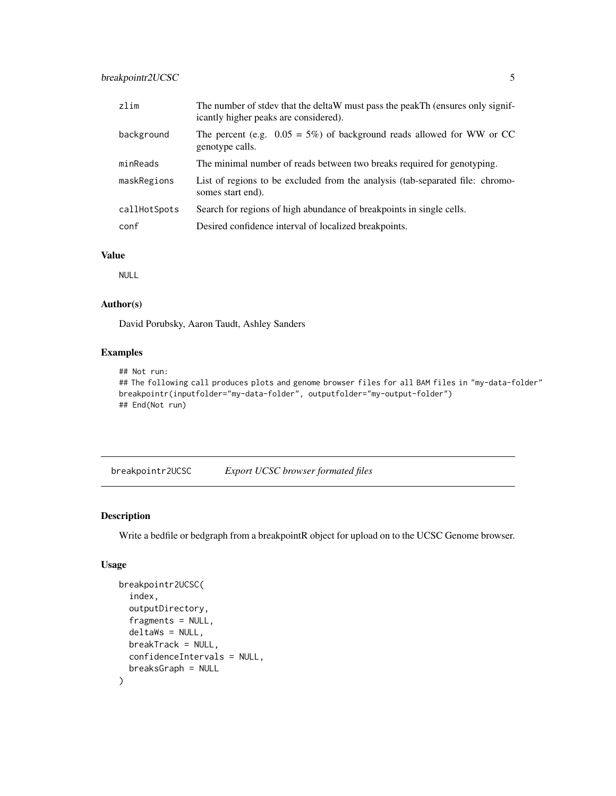### <span id="page-4-0"></span>breakpointr2UCSC 5

| zlim         | The number of stdev that the deltaW must pass the peakTh (ensures only signif-<br>icantly higher peaks are considered). |
|--------------|-------------------------------------------------------------------------------------------------------------------------|
| background   | The percent (e.g. $0.05 = 5\%$ ) of background reads allowed for WW or CC<br>genotype calls.                            |
| minReads     | The minimal number of reads between two breaks required for genotyping.                                                 |
| maskRegions  | List of regions to be excluded from the analysis (tab-separated file: chromo-<br>somes start end).                      |
| callHotSpots | Search for regions of high abundance of breakpoints in single cells.                                                    |
| conf         | Desired confidence interval of localized breakpoints.                                                                   |

### Value

NULL

### Author(s)

David Porubsky, Aaron Taudt, Ashley Sanders

#### Examples

```
## Not run:
## The following call produces plots and genome browser files for all BAM files in "my-data-folder"
breakpointr(inputfolder="my-data-folder", outputfolder="my-output-folder")
## End(Not run)
```
breakpointr2UCSC *Export UCSC browser formated files*

### Description

Write a bedfile or bedgraph from a breakpointR object for upload on to the UCSC Genome browser.

```
breakpointr2UCSC(
  index,
  outputDirectory,
  fragments = NULL,
  deltaWs = NULL,
 breakTrack = NULL,
  confidenceIntervals = NULL,
  breaksGraph = NULL
)
```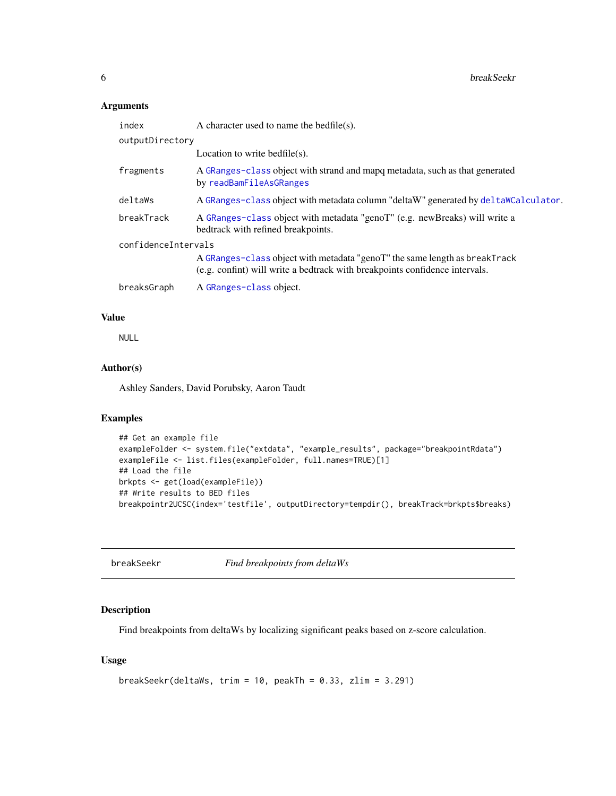### <span id="page-5-0"></span>Arguments

| index               | A character used to name the bedfile(s).                                                                                                                  |
|---------------------|-----------------------------------------------------------------------------------------------------------------------------------------------------------|
| outputDirectory     |                                                                                                                                                           |
|                     | Location to write bedfile $(s)$ .                                                                                                                         |
| fragments           | A GRanges-class object with strand and mapq metadata, such as that generated<br>by readBamFileAsGRanges                                                   |
| deltaWs             | A GRanges-class object with metadata column "deltaW" generated by deltaWCalculator.                                                                       |
| breakTrack          | A GRanges-class object with metadata "genoT" (e.g. new Breaks) will write a<br>bedtrack with refined breakpoints.                                         |
| confidenceIntervals |                                                                                                                                                           |
|                     | A GRanges-class object with metadata "genoT" the same length as breakTrack<br>(e.g. confint) will write a bedtrack with breakpoints confidence intervals. |
| breaksGraph         | A GRanges-class object.                                                                                                                                   |

#### Value

NULL

### Author(s)

Ashley Sanders, David Porubsky, Aaron Taudt

### Examples

```
## Get an example file
exampleFolder <- system.file("extdata", "example_results", package="breakpointRdata")
exampleFile <- list.files(exampleFolder, full.names=TRUE)[1]
## Load the file
brkpts <- get(load(exampleFile))
## Write results to BED files
breakpointr2UCSC(index='testfile', outputDirectory=tempdir(), breakTrack=brkpts$breaks)
```
breakSeekr *Find breakpoints from deltaWs*

### Description

Find breakpoints from deltaWs by localizing significant peaks based on z-score calculation.

```
breakSeekr(deltaWs, trim = 10, peakTh = 0.33, zlim = 3.291)
```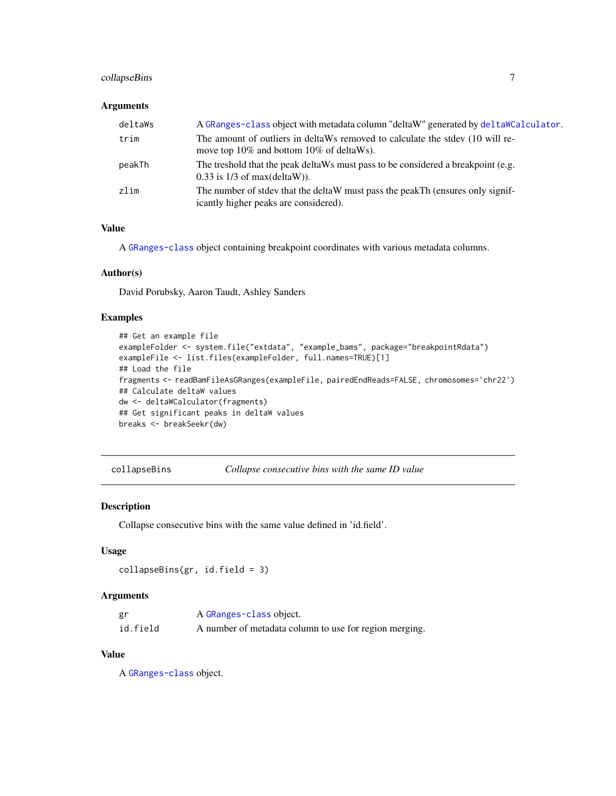### <span id="page-6-0"></span>collapseBins 7

### Arguments

| deltaWs | A GRanges-class object with metadata column "deltaW" generated by delta WCalculator.                                      |
|---------|---------------------------------------------------------------------------------------------------------------------------|
| trim    | The amount of outliers in deltaWs removed to calculate the stdev (10 will re-<br>move top 10% and bottom 10% of deltaWs). |
| peakTh  | The treshold that the peak deltaWs must pass to be considered a breakpoint (e.g.<br>$0.33$ is $1/3$ of max(deltaW)).      |
| zlim    | The number of stdev that the deltaW must pass the peakTh (ensures only signif-<br>icantly higher peaks are considered).   |

### Value

A [GRanges-class](#page-0-0) object containing breakpoint coordinates with various metadata columns.

#### Author(s)

David Porubsky, Aaron Taudt, Ashley Sanders

### Examples

```
## Get an example file
exampleFolder <- system.file("extdata", "example_bams", package="breakpointRdata")
exampleFile <- list.files(exampleFolder, full.names=TRUE)[1]
## Load the file
fragments <- readBamFileAsGRanges(exampleFile, pairedEndReads=FALSE, chromosomes='chr22')
## Calculate deltaW values
dw <- deltaWCalculator(fragments)
## Get significant peaks in deltaW values
breaks <- breakSeekr(dw)
```
collapseBins *Collapse consecutive bins with the same ID value*

#### Description

Collapse consecutive bins with the same value defined in 'id.field'.

#### Usage

```
collapseBins(gr, id.field = 3)
```
#### Arguments

| gr       | A GRanges-class object.                                |
|----------|--------------------------------------------------------|
| id.field | A number of metadata column to use for region merging. |

### Value

A [GRanges-class](#page-0-0) object.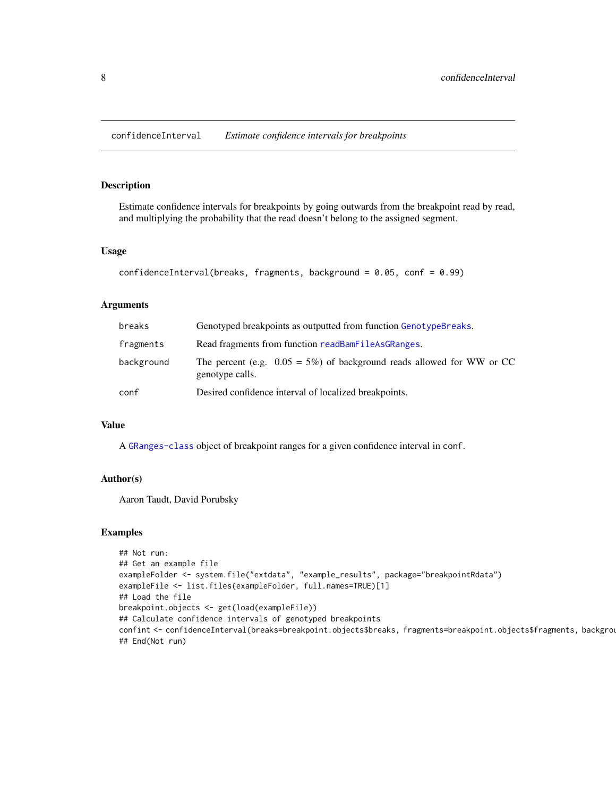<span id="page-7-0"></span>confidenceInterval *Estimate confidence intervals for breakpoints*

#### Description

Estimate confidence intervals for breakpoints by going outwards from the breakpoint read by read, and multiplying the probability that the read doesn't belong to the assigned segment.

#### Usage

```
confidenceInterval(breaks, fragments, background = 0.05, conf = 0.99)
```
#### Arguments

| breaks     | Genotyped breakpoints as outputted from function GenotypeBreaks.                             |
|------------|----------------------------------------------------------------------------------------------|
| fragments  | Read fragments from function readBamFileAsGRanges.                                           |
| background | The percent (e.g. $0.05 = 5\%$ ) of background reads allowed for WW or CC<br>genotype calls. |
| conf       | Desired confidence interval of localized breakpoints.                                        |

### Value

A [GRanges-class](#page-0-0) object of breakpoint ranges for a given confidence interval in conf.

#### Author(s)

Aaron Taudt, David Porubsky

#### Examples

```
## Not run:
## Get an example file
exampleFolder <- system.file("extdata", "example_results", package="breakpointRdata")
exampleFile <- list.files(exampleFolder, full.names=TRUE)[1]
## Load the file
breakpoint.objects <- get(load(exampleFile))
## Calculate confidence intervals of genotyped breakpoints
confint <- confidenceInterval(breaks=breakpoint.objects$breaks, fragments=breakpoint.objects$fragments, backgrou
## End(Not run)
```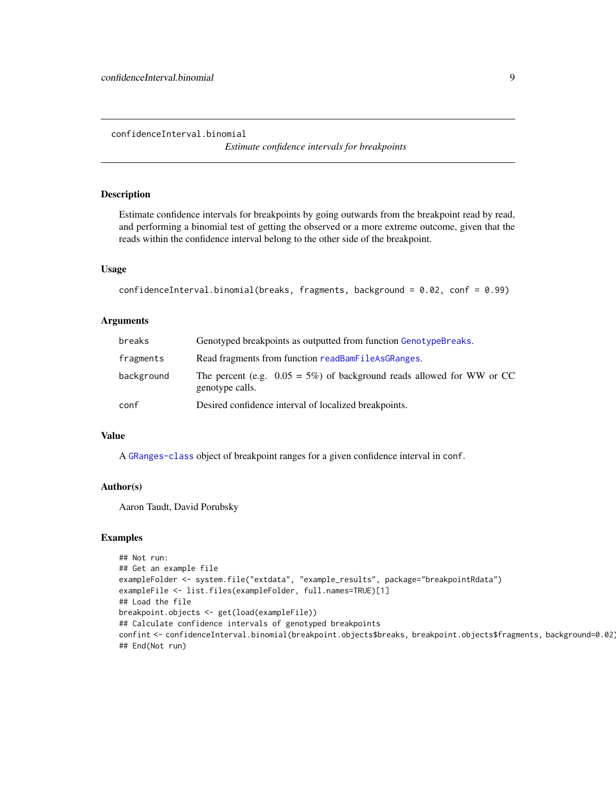<span id="page-8-0"></span>confidenceInterval.binomial

*Estimate confidence intervals for breakpoints*

### Description

Estimate confidence intervals for breakpoints by going outwards from the breakpoint read by read, and performing a binomial test of getting the observed or a more extreme outcome, given that the reads within the confidence interval belong to the other side of the breakpoint.

#### Usage

confidenceInterval.binomial(breaks, fragments, background = 0.02, conf = 0.99)

#### Arguments

| breaks     | Genotyped breakpoints as outputted from function GenotypeBreaks.                             |
|------------|----------------------------------------------------------------------------------------------|
| fragments  | Read fragments from function readBamFileAsGRanges.                                           |
| background | The percent (e.g. $0.05 = 5\%$ ) of background reads allowed for WW or CC<br>genotype calls. |
| conf       | Desired confidence interval of localized breakpoints.                                        |

### Value

A [GRanges-class](#page-0-0) object of breakpoint ranges for a given confidence interval in conf.

#### Author(s)

Aaron Taudt, David Porubsky

#### Examples

```
## Not run:
## Get an example file
exampleFolder <- system.file("extdata", "example_results", package="breakpointRdata")
exampleFile <- list.files(exampleFolder, full.names=TRUE)[1]
## Load the file
breakpoint.objects <- get(load(exampleFile))
## Calculate confidence intervals of genotyped breakpoints
confint <- confidenceInterval.binomial(breakpoint.objects$breaks, breakpoint.objects$fragments, background=0.02)
## End(Not run)
```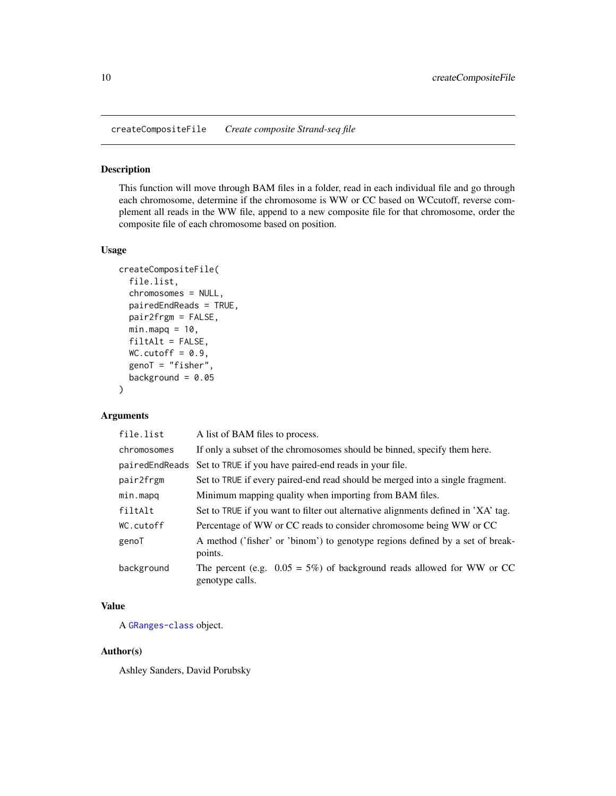<span id="page-9-0"></span>createCompositeFile *Create composite Strand-seq file*

#### Description

This function will move through BAM files in a folder, read in each individual file and go through each chromosome, determine if the chromosome is WW or CC based on WCcutoff, reverse complement all reads in the WW file, append to a new composite file for that chromosome, order the composite file of each chromosome based on position.

#### Usage

```
createCompositeFile(
  file.list,
  chromosomes = NULL,
 pairedEndReads = TRUE,
 pair2frgm = FALSE,
 minmapq = 10,
  filtAlt = FALSE,WC.cutoff = 0.9,genoT = "fisher",
 background = 0.05)
```
### Arguments

| file.list      | A list of BAM files to process.                                                              |
|----------------|----------------------------------------------------------------------------------------------|
| chromosomes    | If only a subset of the chromosomes should be binned, specify them here.                     |
| pairedEndReads | Set to TRUE if you have paired-end reads in your file.                                       |
| pair2frgm      | Set to TRUE if every paired-end read should be merged into a single fragment.                |
| min.mapq       | Minimum mapping quality when importing from BAM files.                                       |
| filtAlt        | Set to TRUE if you want to filter out alternative alignments defined in 'XA' tag.            |
| WC.cutoff      | Percentage of WW or CC reads to consider chromosome being WW or CC                           |
| genoT          | A method ('fisher' or 'binom') to genotype regions defined by a set of break-<br>points.     |
| background     | The percent (e.g. $0.05 = 5\%$ ) of background reads allowed for WW or CC<br>genotype calls. |

### Value

A [GRanges-class](#page-0-0) object.

### Author(s)

Ashley Sanders, David Porubsky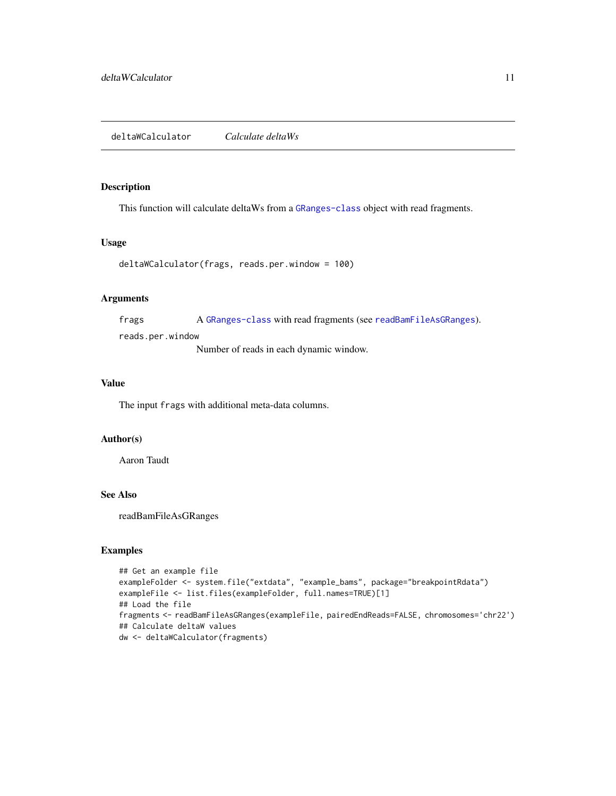#### <span id="page-10-1"></span><span id="page-10-0"></span>Description

This function will calculate deltaWs from a [GRanges-class](#page-0-0) object with read fragments.

### Usage

```
deltaWCalculator(frags, reads.per.window = 100)
```
### Arguments

frags A [GRanges-class](#page-0-0) with read fragments (see [readBamFileAsGRanges](#page-20-1)).

reads.per.window

Number of reads in each dynamic window.

#### Value

The input frags with additional meta-data columns.

#### Author(s)

Aaron Taudt

### See Also

readBamFileAsGRanges

#### Examples

```
## Get an example file
exampleFolder <- system.file("extdata", "example_bams", package="breakpointRdata")
exampleFile <- list.files(exampleFolder, full.names=TRUE)[1]
## Load the file
fragments <- readBamFileAsGRanges(exampleFile, pairedEndReads=FALSE, chromosomes='chr22')
## Calculate deltaW values
dw <- deltaWCalculator(fragments)
```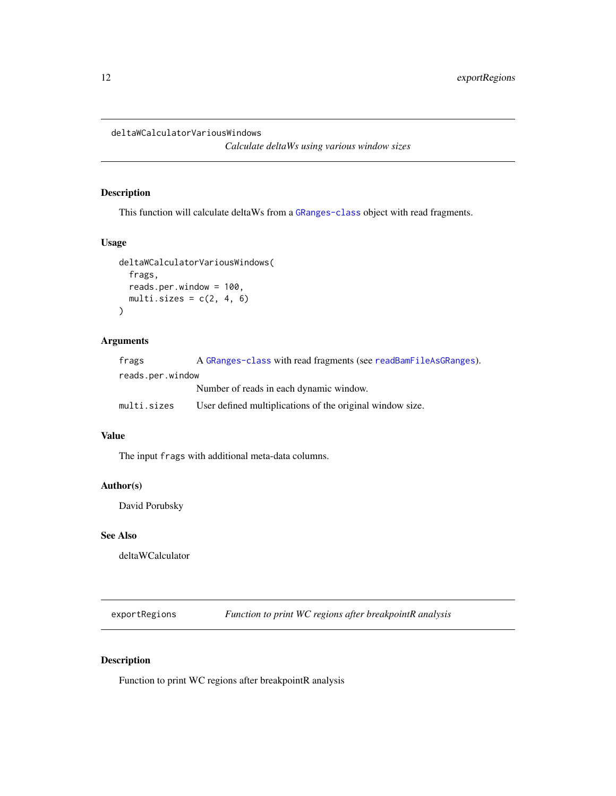<span id="page-11-0"></span>deltaWCalculatorVariousWindows

*Calculate deltaWs using various window sizes*

### Description

This function will calculate deltaWs from a [GRanges-class](#page-0-0) object with read fragments.

### Usage

```
deltaWCalculatorVariousWindows(
  frags,
  reads.per.window = 100,
  multi.sizes = c(2, 4, 6)\mathcal{L}
```
### Arguments

| frags            | A GRanges-class with read fragments (see readBamFileAsGRanges). |
|------------------|-----------------------------------------------------------------|
| reads.per.window |                                                                 |
|                  | Number of reads in each dynamic window.                         |
| multi.sizes      | User defined multiplications of the original window size.       |

### Value

The input frags with additional meta-data columns.

### Author(s)

David Porubsky

### See Also

deltaWCalculator

exportRegions *Function to print WC regions after breakpointR analysis*

### Description

Function to print WC regions after breakpointR analysis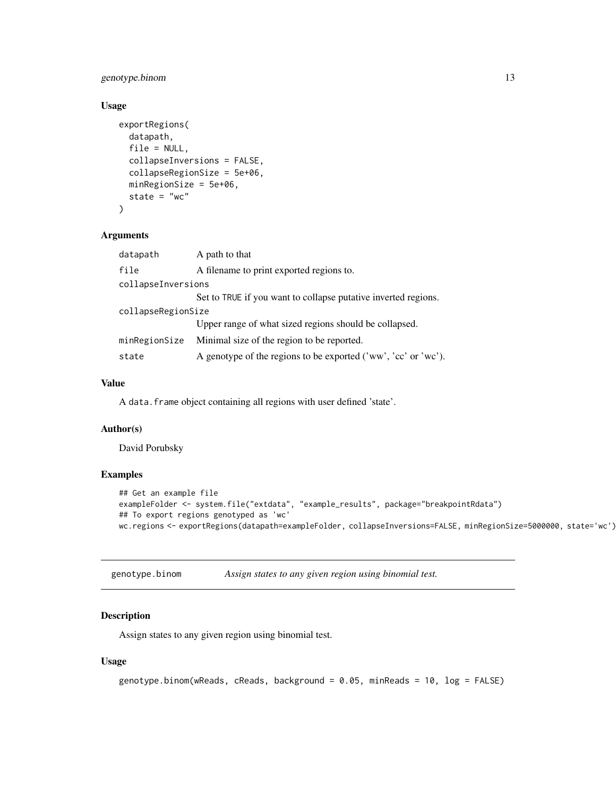### <span id="page-12-0"></span>genotype.binom 13

### Usage

```
exportRegions(
  datapath,
  file = NULL,
  collapseInversions = FALSE,
  collapseRegionSize = 5e+06,
 minRegionSize = 5e+06,
  state = "wc")
```
#### Arguments

| datapath           | A path to that                                                   |  |
|--------------------|------------------------------------------------------------------|--|
| file               | A filename to print exported regions to.                         |  |
| collapseInversions |                                                                  |  |
|                    | Set to TRUE if you want to collapse putative inverted regions.   |  |
| collapseRegionSize |                                                                  |  |
|                    | Upper range of what sized regions should be collapsed.           |  |
| minRegionSize      | Minimal size of the region to be reported.                       |  |
| state              | A genotype of the regions to be exported $('ww', 'cc' or 'wc').$ |  |

### Value

A data.frame object containing all regions with user defined 'state'.

#### Author(s)

David Porubsky

### Examples

```
## Get an example file
exampleFolder <- system.file("extdata", "example_results", package="breakpointRdata")
## To export regions genotyped as 'wc'
wc.regions <- exportRegions(datapath=exampleFolder, collapseInversions=FALSE, minRegionSize=5000000, state='wc')
```
genotype.binom *Assign states to any given region using binomial test.*

#### Description

Assign states to any given region using binomial test.

```
genotype.binom(wReads, cReads, background = 0.05, minReads = 10, log = FALSE)
```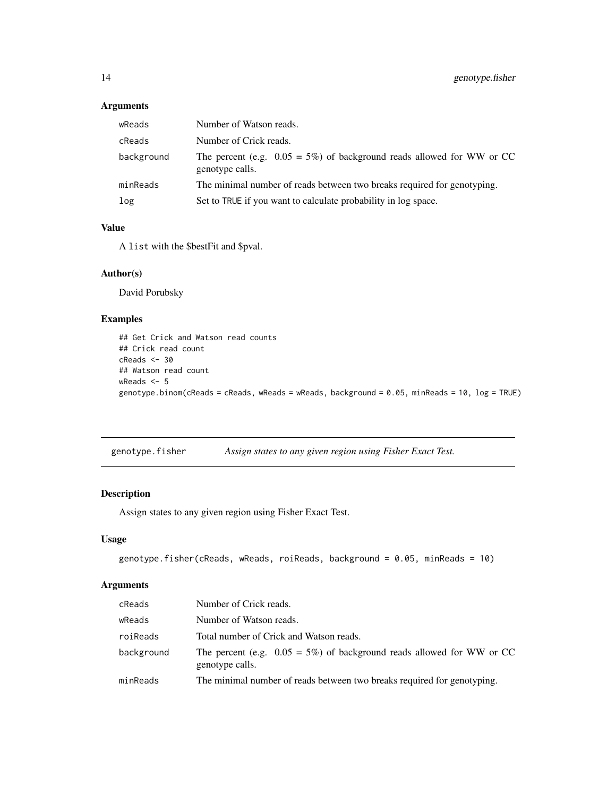### <span id="page-13-0"></span>Arguments

| wReads     | Number of Watson reads.                                                                      |
|------------|----------------------------------------------------------------------------------------------|
| cReads     | Number of Crick reads.                                                                       |
| background | The percent (e.g. $0.05 = 5\%$ ) of background reads allowed for WW or CC<br>genotype calls. |
| minReads   | The minimal number of reads between two breaks required for genotyping.                      |
| log        | Set to TRUE if you want to calculate probability in log space.                               |

### Value

A list with the \$bestFit and \$pval.

### Author(s)

David Porubsky

### Examples

```
## Get Crick and Watson read counts
## Crick read count
cReads <- 30
## Watson read count
wReads <- 5
genotype.binom(cReads = cReads, wReads = wReads, background = 0.05, minReads = 10, log = TRUE)
```
genotype.fisher *Assign states to any given region using Fisher Exact Test.*

### Description

Assign states to any given region using Fisher Exact Test.

#### Usage

```
genotype.fisher(cReads, wReads, roiReads, background = 0.05, minReads = 10)
```

| cReads     | Number of Crick reads.                                                                       |
|------------|----------------------------------------------------------------------------------------------|
| wReads     | Number of Watson reads.                                                                      |
| roiReads   | Total number of Crick and Watson reads.                                                      |
| background | The percent (e.g. $0.05 = 5\%$ ) of background reads allowed for WW or CC<br>genotype calls. |
| minReads   | The minimal number of reads between two breaks required for genotyping.                      |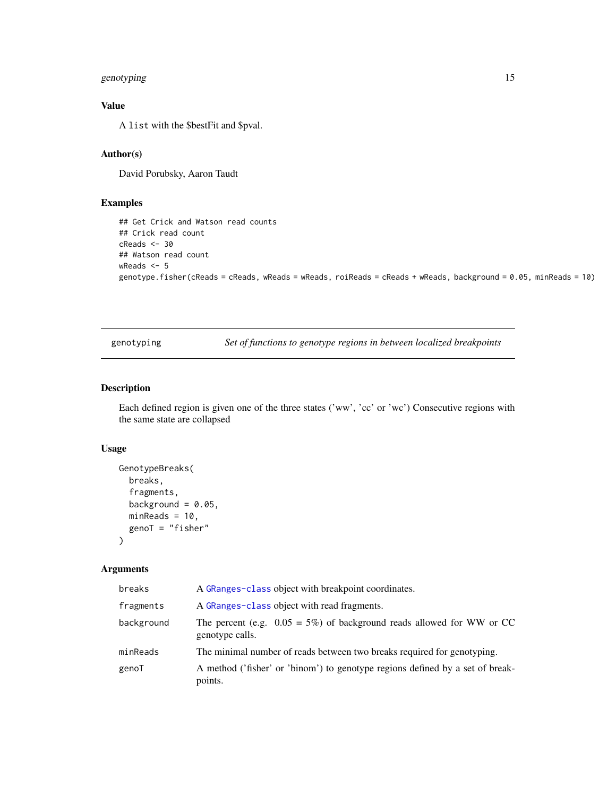### <span id="page-14-0"></span>genotyping 15

### Value

A list with the \$bestFit and \$pval.

### Author(s)

David Porubsky, Aaron Taudt

### Examples

```
## Get Crick and Watson read counts
## Crick read count
cReads <- 30
## Watson read count
wReads <- 5
genotype.fisher(cReads = cReads, wReads = wReads, roiReads = cReads + wReads, background = 0.05, minReads = 10)
```
genotyping *Set of functions to genotype regions in between localized breakpoints*

### <span id="page-14-1"></span>Description

Each defined region is given one of the three states ('ww', 'cc' or 'wc') Consecutive regions with the same state are collapsed

### Usage

```
GenotypeBreaks(
 breaks,
  fragments,
  background = 0.05,
 minReads = 10,genoT = "fisher"
)
```

| breaks     | A GRanges-class object with breakpoint coordinates.                                          |
|------------|----------------------------------------------------------------------------------------------|
| fragments  | A GRanges-class object with read fragments.                                                  |
| background | The percent (e.g. $0.05 = 5\%$ ) of background reads allowed for WW or CC<br>genotype calls. |
| minReads   | The minimal number of reads between two breaks required for genotyping.                      |
| genoT      | A method ('fisher' or 'binom') to genotype regions defined by a set of break-<br>points.     |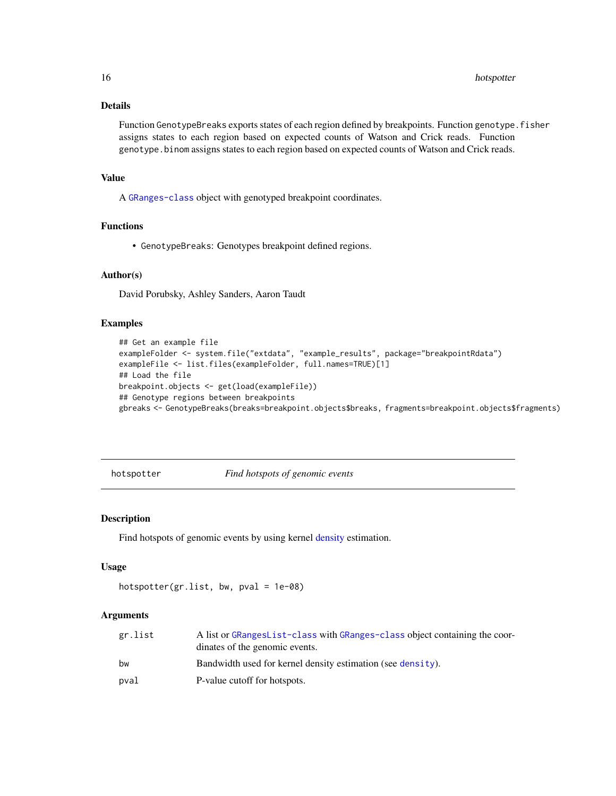### Details

Function GenotypeBreaks exports states of each region defined by breakpoints. Function genotype. fisher assigns states to each region based on expected counts of Watson and Crick reads. Function genotype.binom assigns states to each region based on expected counts of Watson and Crick reads.

#### Value

A [GRanges-class](#page-0-0) object with genotyped breakpoint coordinates.

### Functions

• GenotypeBreaks: Genotypes breakpoint defined regions.

#### Author(s)

David Porubsky, Ashley Sanders, Aaron Taudt

#### Examples

```
## Get an example file
exampleFolder <- system.file("extdata", "example_results", package="breakpointRdata")
exampleFile <- list.files(exampleFolder, full.names=TRUE)[1]
## Load the file
breakpoint.objects <- get(load(exampleFile))
## Genotype regions between breakpoints
gbreaks <- GenotypeBreaks(breaks=breakpoint.objects$breaks, fragments=breakpoint.objects$fragments)
```
hotspotter *Find hotspots of genomic events*

#### Description

Find hotspots of genomic events by using kernel [density](#page-0-0) estimation.

#### Usage

```
hotspotter(gr.list, bw, pval = 1e-08)
```

| gr.list | A list or GRangesList-class with GRanges-class object containing the coor-<br>dinates of the genomic events. |
|---------|--------------------------------------------------------------------------------------------------------------|
| bw      | Bandwidth used for kernel density estimation (see density).                                                  |
| pval    | P-value cutoff for hotspots.                                                                                 |

<span id="page-15-0"></span>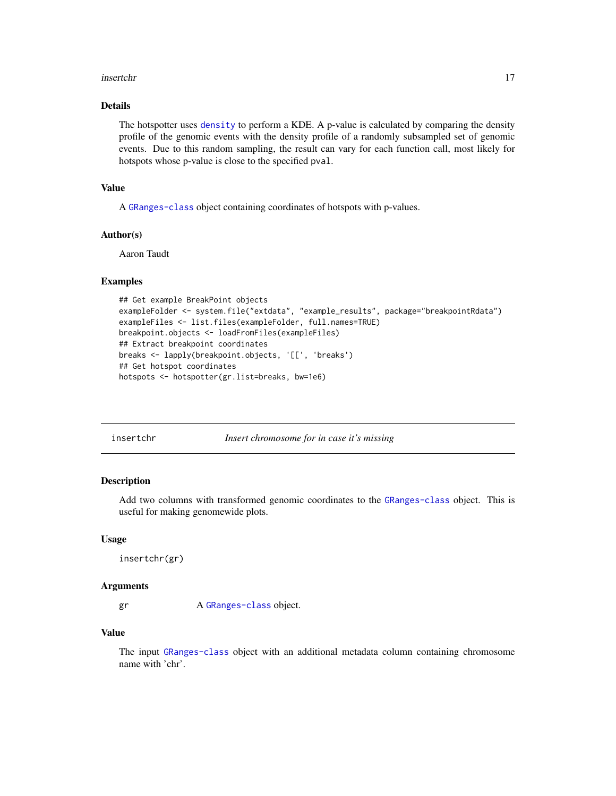#### <span id="page-16-0"></span>insertchr 17

### Details

The hotspotter uses [density](#page-0-0) to perform a KDE. A p-value is calculated by comparing the density profile of the genomic events with the density profile of a randomly subsampled set of genomic events. Due to this random sampling, the result can vary for each function call, most likely for hotspots whose p-value is close to the specified pval.

#### Value

A [GRanges-class](#page-0-0) object containing coordinates of hotspots with p-values.

#### Author(s)

Aaron Taudt

### Examples

```
## Get example BreakPoint objects
exampleFolder <- system.file("extdata", "example_results", package="breakpointRdata")
exampleFiles <- list.files(exampleFolder, full.names=TRUE)
breakpoint.objects <- loadFromFiles(exampleFiles)
## Extract breakpoint coordinates
breaks <- lapply(breakpoint.objects, '[[', 'breaks')
## Get hotspot coordinates
hotspots <- hotspotter(gr.list=breaks, bw=1e6)
```

| insertchr |  |
|-----------|--|
|           |  |

Insert chromosome for in case it's missing

#### Description

Add two columns with transformed genomic coordinates to the [GRanges-class](#page-0-0) object. This is useful for making genomewide plots.

#### Usage

```
insertchr(gr)
```
#### Arguments

gr A [GRanges-class](#page-0-0) object.

#### Value

The input [GRanges-class](#page-0-0) object with an additional metadata column containing chromosome name with 'chr'.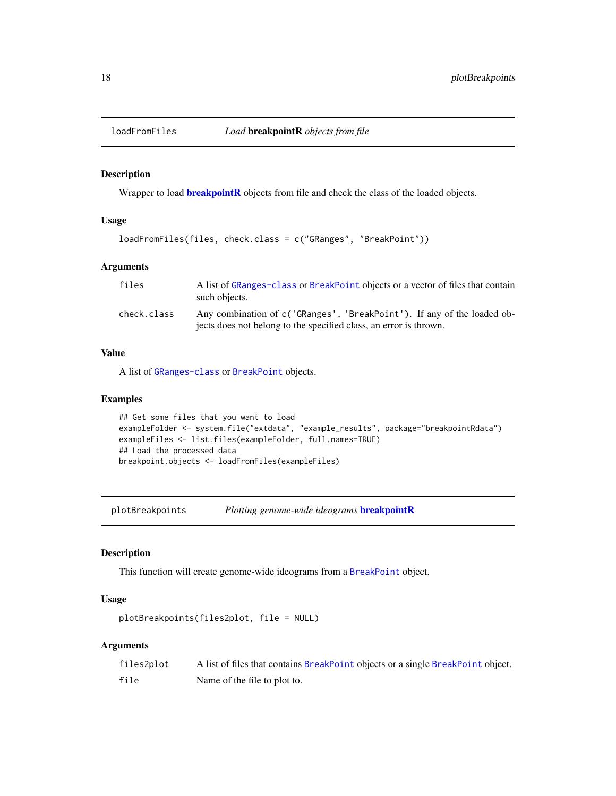<span id="page-17-0"></span>

#### Description

Wrapper to load **[breakpointR](#page-1-1)** objects from file and check the class of the loaded objects.

### Usage

```
loadFromFiles(files, check.class = c("GRanges", "BreakPoint"))
```
### Arguments

| files       | A list of GRanges-class or BreakPoint objects or a vector of files that contain<br>such objects.                                             |
|-------------|----------------------------------------------------------------------------------------------------------------------------------------------|
| check.class | Any combination of c('GRanges', 'BreakPoint'). If any of the loaded ob-<br>jects does not belong to the specified class, an error is thrown. |

#### Value

A list of [GRanges-class](#page-0-0) or [BreakPoint](#page-2-2) objects.

### Examples

```
## Get some files that you want to load
exampleFolder <- system.file("extdata", "example_results", package="breakpointRdata")
exampleFiles <- list.files(exampleFolder, full.names=TRUE)
## Load the processed data
breakpoint.objects <- loadFromFiles(exampleFiles)
```
plotBreakpoints *Plotting genome-wide ideograms* [breakpointR](#page-1-1)

### Description

This function will create genome-wide ideograms from a [BreakPoint](#page-2-2) object.

### Usage

```
plotBreakpoints(files2plot, file = NULL)
```

| files2plot | A list of files that contains BreakPoint objects or a single BreakPoint object. |
|------------|---------------------------------------------------------------------------------|
| file       | Name of the file to plot to.                                                    |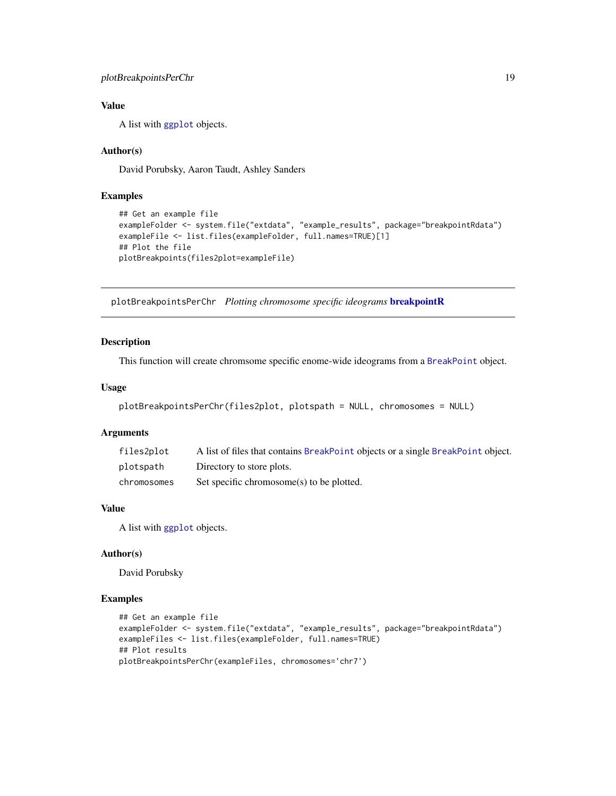### <span id="page-18-0"></span>Value

A list with [ggplot](#page-0-0) objects.

### Author(s)

David Porubsky, Aaron Taudt, Ashley Sanders

#### Examples

```
## Get an example file
exampleFolder <- system.file("extdata", "example_results", package="breakpointRdata")
exampleFile <- list.files(exampleFolder, full.names=TRUE)[1]
## Plot the file
plotBreakpoints(files2plot=exampleFile)
```
plotBreakpointsPerChr *Plotting chromosome specific ideograms* [breakpointR](#page-1-1)

### Description

This function will create chromsome specific enome-wide ideograms from a [BreakPoint](#page-2-2) object.

#### Usage

```
plotBreakpointsPerChr(files2plot, plotspath = NULL, chromosomes = NULL)
```
#### Arguments

| files2plot  | A list of files that contains BreakPoint objects or a single BreakPoint object. |
|-------------|---------------------------------------------------------------------------------|
| plotspath   | Directory to store plots.                                                       |
| chromosomes | Set specific chromosome(s) to be plotted.                                       |

### Value

A list with [ggplot](#page-0-0) objects.

### Author(s)

David Porubsky

#### Examples

```
## Get an example file
exampleFolder <- system.file("extdata", "example_results", package="breakpointRdata")
exampleFiles <- list.files(exampleFolder, full.names=TRUE)
## Plot results
plotBreakpointsPerChr(exampleFiles, chromosomes='chr7')
```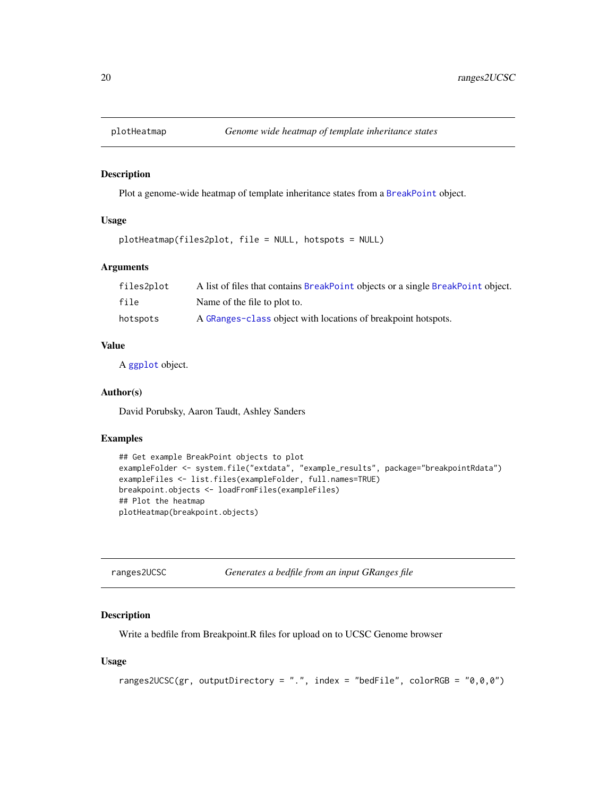<span id="page-19-0"></span>

#### Description

Plot a genome-wide heatmap of template inheritance states from a [BreakPoint](#page-2-2) object.

### Usage

```
plotHeatmap(files2plot, file = NULL, hotspots = NULL)
```
#### Arguments

| files2plot | A list of files that contains BreakPoint objects or a single BreakPoint object. |
|------------|---------------------------------------------------------------------------------|
| file       | Name of the file to plot to.                                                    |
| hotspots   | A GRanges-class object with locations of breakpoint hotspots.                   |

#### Value

A [ggplot](#page-0-0) object.

#### Author(s)

David Porubsky, Aaron Taudt, Ashley Sanders

### Examples

```
## Get example BreakPoint objects to plot
exampleFolder <- system.file("extdata", "example_results", package="breakpointRdata")
exampleFiles <- list.files(exampleFolder, full.names=TRUE)
breakpoint.objects <- loadFromFiles(exampleFiles)
## Plot the heatmap
plotHeatmap(breakpoint.objects)
```

| ranges2UCSC | Generates a bedfile from an input GRanges file |
|-------------|------------------------------------------------|
|             |                                                |

#### Description

Write a bedfile from Breakpoint.R files for upload on to UCSC Genome browser

```
ranges2UCSC(gr, outputDirectory = ".", index = "bedFile", colorRGB = "0,0,0")
```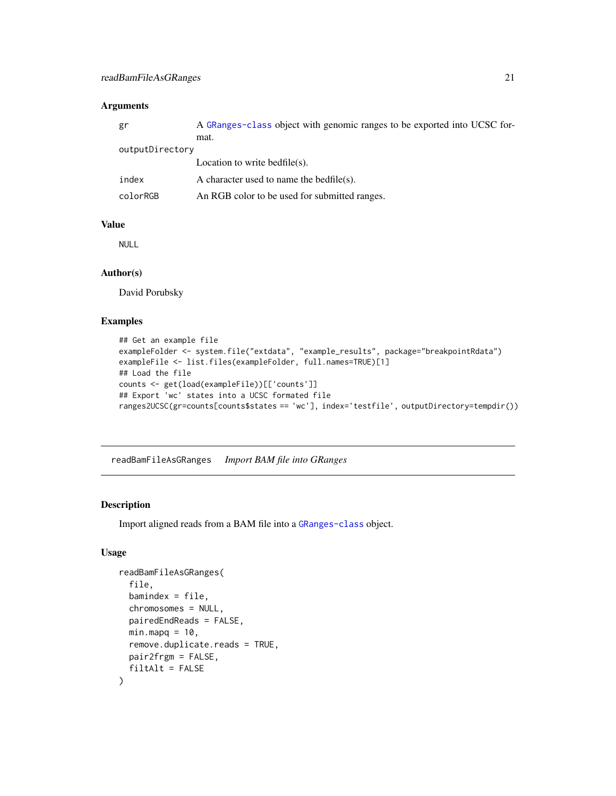### <span id="page-20-0"></span>Arguments

| gr              | A GRanges-class object with genomic ranges to be exported into UCSC for- |
|-----------------|--------------------------------------------------------------------------|
|                 | mat.                                                                     |
| outputDirectory |                                                                          |
|                 | Location to write bedfile(s).                                            |
| index           | A character used to name the bedfile(s).                                 |
| colorRGB        | An RGB color to be used for submitted ranges.                            |
|                 |                                                                          |

#### Value

NULL

#### Author(s)

David Porubsky

### Examples

```
## Get an example file
exampleFolder <- system.file("extdata", "example_results", package="breakpointRdata")
exampleFile <- list.files(exampleFolder, full.names=TRUE)[1]
## Load the file
counts <- get(load(exampleFile))[['counts']]
## Export 'wc' states into a UCSC formated file
ranges2UCSC(gr=counts[counts$states == 'wc'], index='testfile', outputDirectory=tempdir())
```
<span id="page-20-1"></span>readBamFileAsGRanges *Import BAM file into GRanges*

### Description

Import aligned reads from a BAM file into a [GRanges-class](#page-0-0) object.

```
readBamFileAsGRanges(
  file,
 bamindex = file,
 chromosomes = NULL,
 pairedEndReads = FALSE,
 minmapq = 10,
 remove.duplicate.reads = TRUE,
 pair2frgm = FALSE,
  filtAlt = FALSE
)
```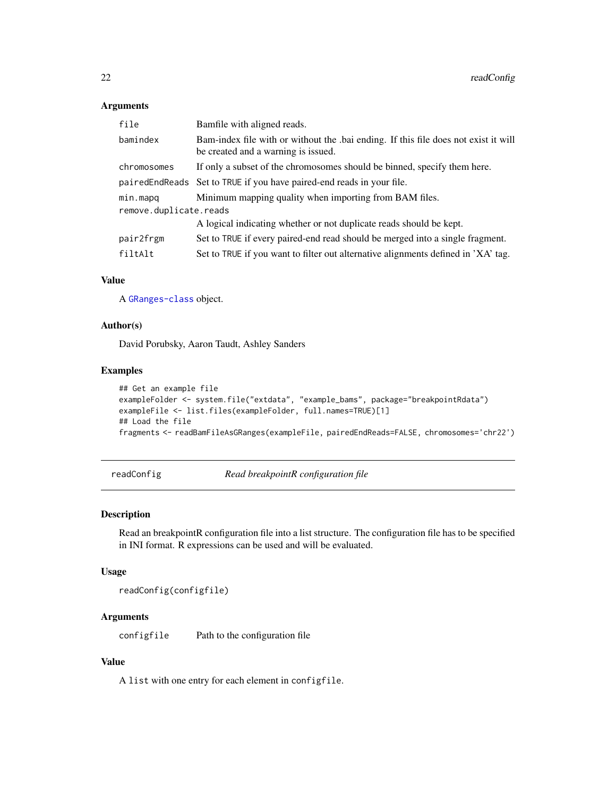#### <span id="page-21-0"></span>Arguments

| file                   | Bamfile with aligned reads.                                                                                                |  |
|------------------------|----------------------------------------------------------------------------------------------------------------------------|--|
| bamindex               | Bam-index file with or without the .bai ending. If this file does not exist it will<br>be created and a warning is issued. |  |
| chromosomes            | If only a subset of the chromosomes should be binned, specify them here.                                                   |  |
|                        | paired End Reads Set to TRUE if you have paired-end reads in your file.                                                    |  |
| min.mapq               | Minimum mapping quality when importing from BAM files.                                                                     |  |
| remove.duplicate.reads |                                                                                                                            |  |
|                        | A logical indicating whether or not duplicate reads should be kept.                                                        |  |
| pair2frgm              | Set to TRUE if every paired-end read should be merged into a single fragment.                                              |  |
| filtAlt                | Set to TRUE if you want to filter out alternative alignments defined in 'XA' tag.                                          |  |

### Value

A [GRanges-class](#page-0-0) object.

### Author(s)

David Porubsky, Aaron Taudt, Ashley Sanders

### Examples

```
## Get an example file
exampleFolder <- system.file("extdata", "example_bams", package="breakpointRdata")
exampleFile <- list.files(exampleFolder, full.names=TRUE)[1]
## Load the file
fragments <- readBamFileAsGRanges(exampleFile, pairedEndReads=FALSE, chromosomes='chr22')
```
readConfig *Read breakpointR configuration file*

### Description

Read an breakpointR configuration file into a list structure. The configuration file has to be specified in INI format. R expressions can be used and will be evaluated.

#### Usage

readConfig(configfile)

### Arguments

configfile Path to the configuration file

### Value

A list with one entry for each element in configfile.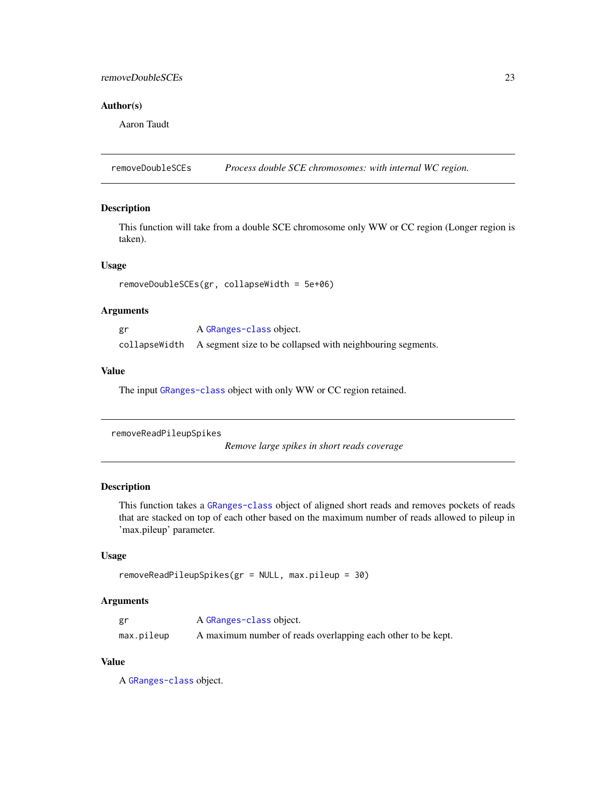### <span id="page-22-0"></span>removeDoubleSCEs 23

### Author(s)

Aaron Taudt

removeDoubleSCEs *Process double SCE chromosomes: with internal WC region.*

### Description

This function will take from a double SCE chromosome only WW or CC region (Longer region is taken).

### Usage

```
removeDoubleSCEs(gr, collapseWidth = 5e+06)
```
### Arguments

| gr | A GRanges-class object.                                                   |
|----|---------------------------------------------------------------------------|
|    | collapse Width A segment size to be collapsed with neighbouring segments. |

### Value

The input [GRanges-class](#page-0-0) object with only WW or CC region retained.

removeReadPileupSpikes

*Remove large spikes in short reads coverage*

### Description

This function takes a [GRanges-class](#page-0-0) object of aligned short reads and removes pockets of reads that are stacked on top of each other based on the maximum number of reads allowed to pileup in 'max.pileup' parameter.

#### Usage

```
removeReadPileupSpikes(gr = NULL, max.pileup = 30)
```
### Arguments

| gr         | A GRanges-class object.                                      |
|------------|--------------------------------------------------------------|
| max.pileup | A maximum number of reads overlapping each other to be kept. |

### Value

A [GRanges-class](#page-0-0) object.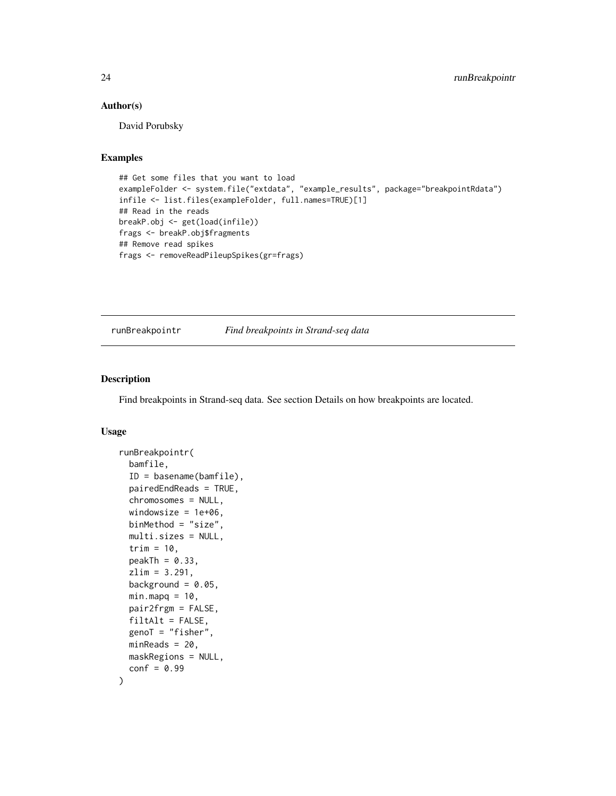#### <span id="page-23-0"></span>Author(s)

David Porubsky

#### Examples

```
## Get some files that you want to load
exampleFolder <- system.file("extdata", "example_results", package="breakpointRdata")
infile <- list.files(exampleFolder, full.names=TRUE)[1]
## Read in the reads
breakP.obj <- get(load(infile))
frags <- breakP.obj$fragments
## Remove read spikes
frags <- removeReadPileupSpikes(gr=frags)
```
<span id="page-23-1"></span>runBreakpointr *Find breakpoints in Strand-seq data*

#### Description

Find breakpoints in Strand-seq data. See section Details on how breakpoints are located.

```
runBreakpointr(
 bamfile,
 ID = basename(bamfile),
 pairedEndReads = TRUE,
 chromosomes = NULL,
 windowsize = 1e+06,
 binMethod = "size",
 multi.sizes = NULL,
 trim = 10,
 peakTh = 0.33,
 zlim = 3.291,
 background = 0.05,
 minmapq = 10,
 pair2frgm = FALSE,
 filtAlt = FALSE,genoT = "fisher",
 minReads = 20,maskRegions = NULL,
 conf = 0.99)
```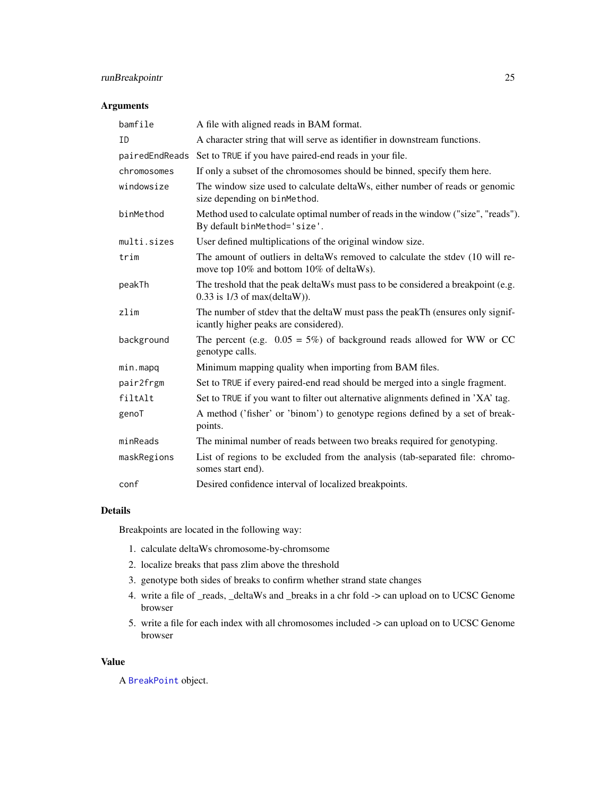### <span id="page-24-0"></span>runBreakpointr 25

### Arguments

| bamfile     | A file with aligned reads in BAM format.                                                                                  |
|-------------|---------------------------------------------------------------------------------------------------------------------------|
| ID          | A character string that will serve as identifier in downstream functions.                                                 |
|             | pairedEndReads Set to TRUE if you have paired-end reads in your file.                                                     |
| chromosomes | If only a subset of the chromosomes should be binned, specify them here.                                                  |
| windowsize  | The window size used to calculate deltaWs, either number of reads or genomic<br>size depending on binMethod.              |
| binMethod   | Method used to calculate optimal number of reads in the window ("size", "reads").<br>By default binMethod='size'.         |
| multi.sizes | User defined multiplications of the original window size.                                                                 |
| trim        | The amount of outliers in deltaWs removed to calculate the stdev (10 will re-<br>move top 10% and bottom 10% of deltaWs). |
| peakTh      | The treshold that the peak deltaWs must pass to be considered a breakpoint (e.g.<br>$0.33$ is $1/3$ of max(deltaW)).      |
| zlim        | The number of stdev that the deltaW must pass the peakTh (ensures only signif-<br>icantly higher peaks are considered).   |
| background  | The percent (e.g. $0.05 = 5\%)$ of background reads allowed for WW or CC<br>genotype calls.                               |
| min.mapq    | Minimum mapping quality when importing from BAM files.                                                                    |
| pair2frgm   | Set to TRUE if every paired-end read should be merged into a single fragment.                                             |
| filtAlt     | Set to TRUE if you want to filter out alternative alignments defined in 'XA' tag.                                         |
| genoT       | A method ('fisher' or 'binom') to genotype regions defined by a set of break-<br>points.                                  |
| minReads    | The minimal number of reads between two breaks required for genotyping.                                                   |
| maskRegions | List of regions to be excluded from the analysis (tab-separated file: chromo-<br>somes start end).                        |
| conf        | Desired confidence interval of localized breakpoints.                                                                     |

### Details

Breakpoints are located in the following way:

- 1. calculate deltaWs chromosome-by-chromsome
- 2. localize breaks that pass zlim above the threshold
- 3. genotype both sides of breaks to confirm whether strand state changes
- 4. write a file of \_reads, \_deltaWs and \_breaks in a chr fold -> can upload on to UCSC Genome browser
- 5. write a file for each index with all chromosomes included -> can upload on to UCSC Genome browser

#### Value

A [BreakPoint](#page-2-2) object.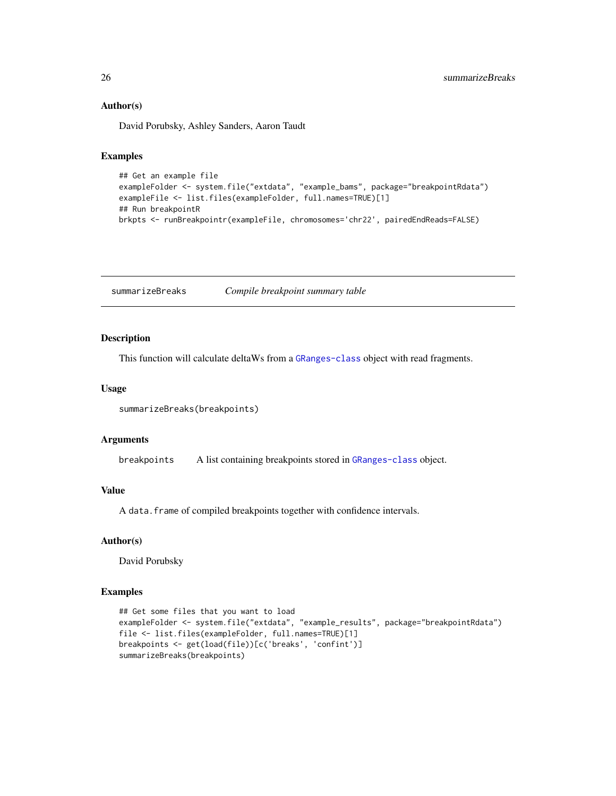#### Author(s)

David Porubsky, Ashley Sanders, Aaron Taudt

#### Examples

```
## Get an example file
exampleFolder <- system.file("extdata", "example_bams", package="breakpointRdata")
exampleFile <- list.files(exampleFolder, full.names=TRUE)[1]
## Run breakpointR
brkpts <- runBreakpointr(exampleFile, chromosomes='chr22', pairedEndReads=FALSE)
```
summarizeBreaks *Compile breakpoint summary table*

#### Description

This function will calculate deltaWs from a [GRanges-class](#page-0-0) object with read fragments.

#### Usage

```
summarizeBreaks(breakpoints)
```
#### Arguments

breakpoints A list containing breakpoints stored in [GRanges-class](#page-0-0) object.

#### Value

A data.frame of compiled breakpoints together with confidence intervals.

#### Author(s)

David Porubsky

### Examples

```
## Get some files that you want to load
exampleFolder <- system.file("extdata", "example_results", package="breakpointRdata")
file <- list.files(exampleFolder, full.names=TRUE)[1]
breakpoints <- get(load(file))[c('breaks', 'confint')]
summarizeBreaks(breakpoints)
```
<span id="page-25-0"></span>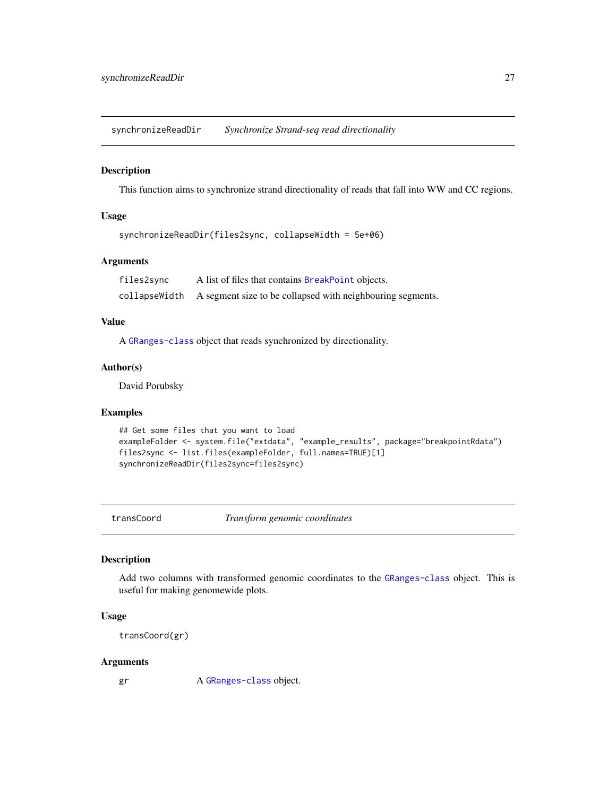<span id="page-26-0"></span>synchronizeReadDir *Synchronize Strand-seq read directionality*

### Description

This function aims to synchronize strand directionality of reads that fall into WW and CC regions.

### Usage

```
synchronizeReadDir(files2sync, collapseWidth = 5e+06)
```
### Arguments

files2sync A list of files that contains [BreakPoint](#page-2-2) objects. collapseWidth A segment size to be collapsed with neighbouring segments.

### Value

A [GRanges-class](#page-0-0) object that reads synchronized by directionality.

### Author(s)

David Porubsky

### Examples

```
## Get some files that you want to load
exampleFolder <- system.file("extdata", "example_results", package="breakpointRdata")
files2sync <- list.files(exampleFolder, full.names=TRUE)[1]
synchronizeReadDir(files2sync=files2sync)
```
transCoord *Transform genomic coordinates*

### Description

Add two columns with transformed genomic coordinates to the [GRanges-class](#page-0-0) object. This is useful for making genomewide plots.

#### Usage

```
transCoord(gr)
```
#### Arguments

gr A [GRanges-class](#page-0-0) object.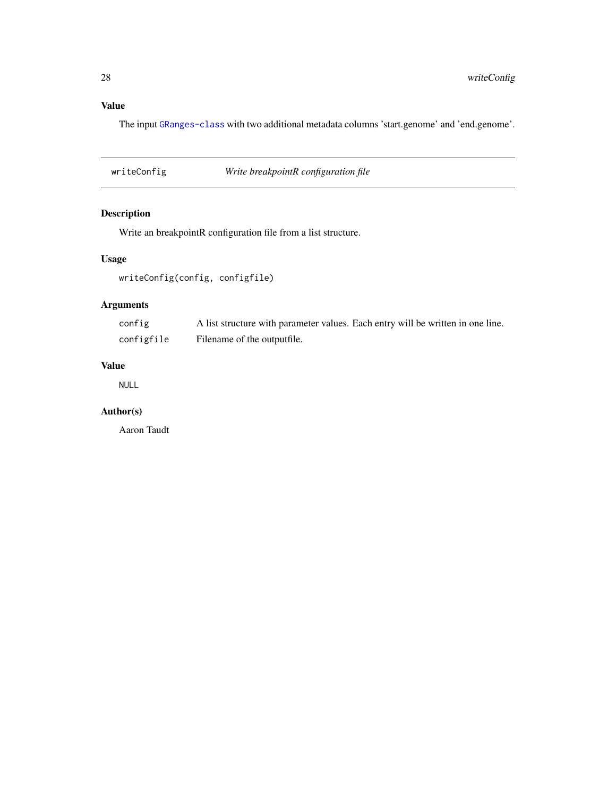### <span id="page-27-0"></span>Value

The input [GRanges-class](#page-0-0) with two additional metadata columns 'start.genome' and 'end.genome'.

writeConfig *Write breakpointR configuration file*

### Description

Write an breakpointR configuration file from a list structure.

### Usage

```
writeConfig(config, configfile)
```
### Arguments

| config     | A list structure with parameter values. Each entry will be written in one line. |
|------------|---------------------------------------------------------------------------------|
| configfile | Filename of the outputfile.                                                     |

### Value

NULL

### Author(s)

Aaron Taudt